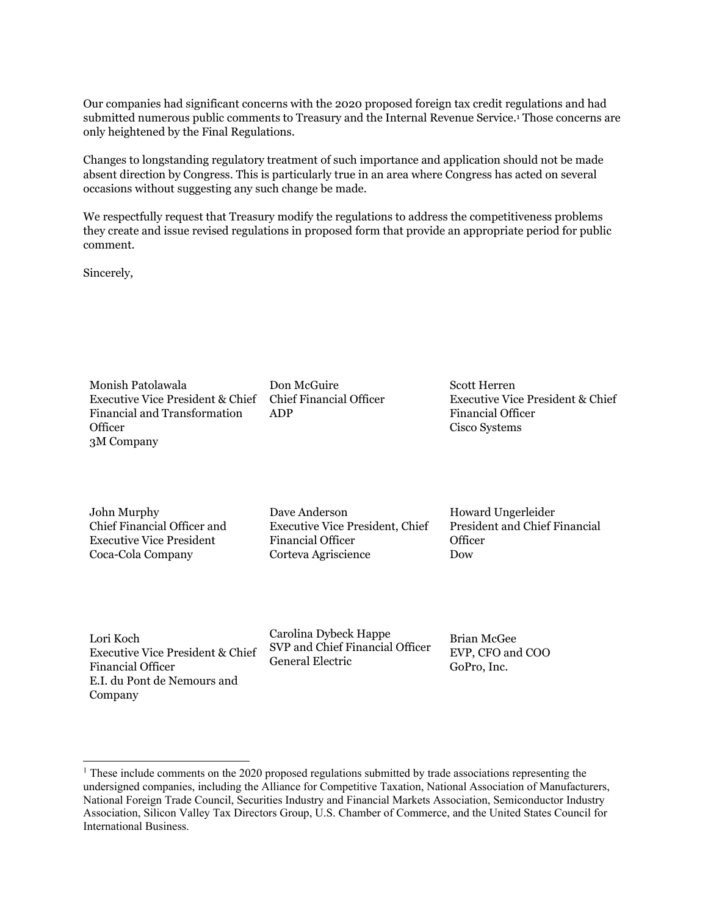Our companies had significant concerns with the 2020 proposed foreign tax credit regulations and had submitted numerous public comments to Treasury and the Internal Revenue Service.1 Those concerns are only heightened by the Final Regulations.

Changes to longstanding regulatory treatment of such importance and application should not be made absent direction by Congress. This is particularly true in an area where Congress has acted on several occasions without suggesting any such change be made.

We respectfully request that Treasury modify the regulations to address the competitiveness problems they create and issue revised regulations in proposed form that provide an appropriate period for public comment.

Sincerely,

Monish Patolawala Executive Vice President & Chief Financial and Transformation **Officer** 3M Company

John Murphy Chief Financial Officer and Executive Vice President The Coca-Cola Company

 $1/\mathcal{O}$ r (  $100th$ 

Lori Koch Executive Vice President & Chief Financial Officer E.I. du Pont de Nemours and Company

Don McGuire Chief Financial Officer ADP

anterna

Dave Anderson Executive Vice President, Chief Financial Officer Corteva Agriscience

Carolina Dybeck Happe SVP and Chief Financial Officer General Electric Company

Scott Herren Executive Vice President & Chief Financial Officer Cisco Systems, Inc.

Hound

Howard Ungerleider President and Chief Financial **Officer** The Dow Chemical Company

Brian McGee EVP, CFO and COO GoPro, Inc.

<sup>&</sup>lt;sup>1</sup> These include comments on the 2020 proposed regulations submitted by trade associations representing the undersigned companies, including the Alliance for Competitive Taxation, National Association of Manufacturers, National Foreign Trade Council, Securities Industry and Financial Markets Association, Semiconductor Industry Association, Silicon Valley Tax Directors Group, U.S. Chamber of Commerce, and the United States Council for International Business.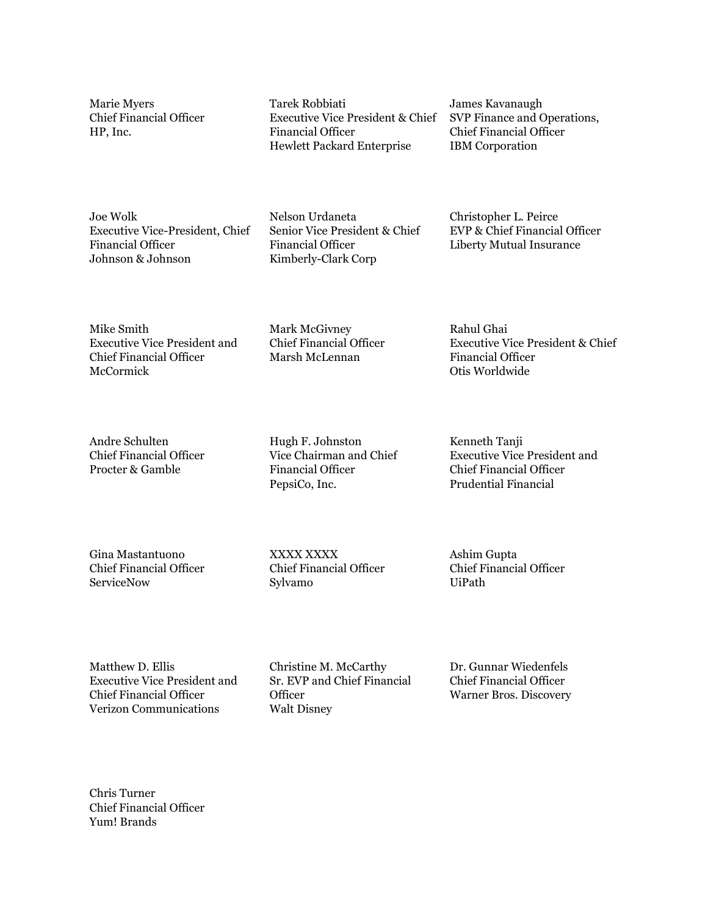Marie Myers Jul A. Rolling

Marie Myers Chief Financial Officer HP, Inc.

Joe Wolk Executive Vice-President, Chief Financial Officer Johnson & Johnson

When finited

Mike Smith Executive Vice President and Chief Financial Officer McCormick & Company, Inc.

Andre Schulten Chief Financial Officer Procter & Gamble Co.

astente

Gina Mastantuono Chief Financial Officer **ServiceNow** 

stutte

Matthew D. Ellis Executive Vice President and Chief Financial Officer Verizon Communications Inc.

Chris Turner Chief Financial Officer Yum! Brands

Tarek Robbiati Executive Vice President & Chief Financial Officer Hewlett Packard Enterprise

Nelson Urdenete

Nelson Urdaneta Senior Vice President & Chief Financial Officer Kimberly Clark Corp

Wark W. Hurry

Mark McGivney Chief Financial Officer Marsh McLennan

Hugh F. Johnston Vice Chairman and Chief Financial Officer PepsiCo, Inc.

John V. Sims Senior Vice President and Chief Financial Officer Sylvamo

Chrizine Mclarky

Christine M. McCarthy Sr. EVP and Chief Financial **Officer** The Walt Disney Company

James Kavanaugh SVP Finance and Operations, Chief Financial Officer IBM Corporation

 $2$  Pe  $CL =$ 

Christopher L. Peirce EVP & Chief Financial Officer Liberty Mutual Insurance

 $\int$ alu $|q|$ qi

Rahul Ghai Executive Vice President & Chief Financial Officer Otis Worldwide

 $k$ 

Kenneth Tanji Executive Vice President and Chief Financial Officer Prudential Financial Inc.

aslum Gu

Ashim Gupta Chief Financial Officer UiPath

Dr. Gunnar Wiedenfels Chief Financial Officer Warner Bros. Discovery